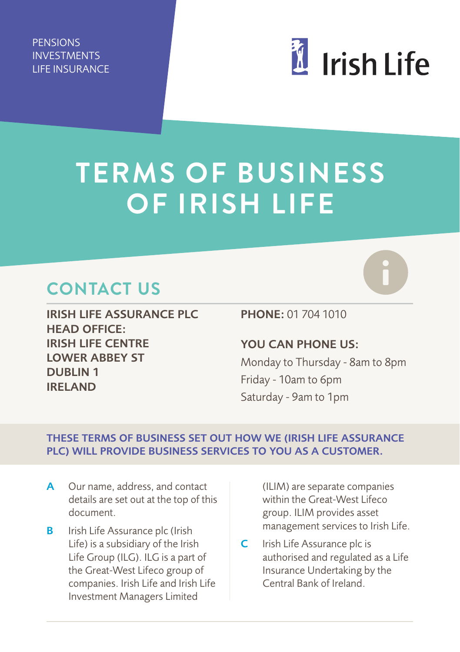**PENSIONS** INVESTMENTS LIFE INSURANCE

# id Irish Life

## **TERMS OF BUSINESS OF IRISH LIFE**

### **CONTACT US**

IRISH LIFE ASSURANCE PLC HEAD OFFICE: IRISH LIFE CENTRE LOWER ABBEY ST DUBLIN 1 IRELAND

PHONE: 01 704 1010

YOU CAN PHONE LIS.

Monday to Thursday - 8am to 8pm Friday - 10am to 6pm Saturday - 9am to 1pm

#### THESE TERMS OF BUSINESS SET OUT HOW WE (IRISH LIFE ASSURANCE PLC) WILL PROVIDE BUSINESS SERVICES TO YOU AS A CUSTOMER.

- A Our name, address, and contact details are set out at the top of this document.
- **B** Irish Life Assurance plc (Irish Life) is a subsidiary of the Irish Life Group (ILG). ILG is a part of the Great-West Lifeco group of companies. Irish Life and Irish Life Investment Managers Limited

(ILIM) are separate companies within the Great-West Lifeco group. ILIM provides asset management services to Irish Life.

C Irish Life Assurance plc is authorised and regulated as a Life Insurance Undertaking by the Central Bank of Ireland.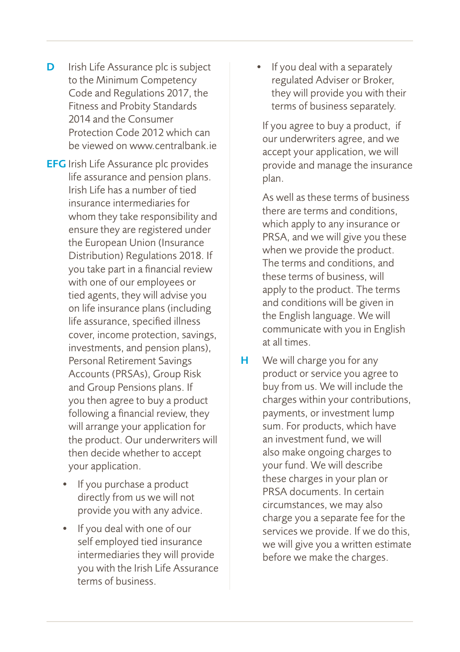- **D** Irish Life Assurance plc is subject to the Minimum Competency Code and Regulations 2017, the Fitness and Probity Standards 2014 and the Consumer Protection Code 2012 which can be viewed on www.centralbank.ie
- EFG Irish Life Assurance plc provides life assurance and pension plans. Irish Life has a number of tied insurance intermediaries for whom they take responsibility and ensure they are registered under the European Union (Insurance Distribution) Regulations 2018. If you take part in a financial review with one of our employees or tied agents, they will advise you on life insurance plans (including life assurance, specified illness cover, income protection, savings, investments, and pension plans), Personal Retirement Savings Accounts (PRSAs), Group Risk and Group Pensions plans. If you then agree to buy a product following a financial review, they will arrange your application for the product. Our underwriters will then decide whether to accept your application.
	- If you purchase a product directly from us we will not provide you with any advice.
	- If you deal with one of our self employed tied insurance intermediaries they will provide you with the Irish Life Assurance terms of business.

If you deal with a separately regulated Adviser or Broker, they will provide you with their terms of business separately.

If you agree to buy a product, if our underwriters agree, and we accept your application, we will provide and manage the insurance plan.

As well as these terms of business there are terms and conditions, which apply to any insurance or PRSA, and we will give you these when we provide the product. The terms and conditions, and these terms of business, will apply to the product. The terms and conditions will be given in the English language. We will communicate with you in English at all times.

H We will charge you for any product or service you agree to buy from us. We will include the charges within your contributions, payments, or investment lump sum. For products, which have an investment fund, we will also make ongoing charges to your fund. We will describe these charges in your plan or PRSA documents. In certain circumstances, we may also charge you a separate fee for the services we provide. If we do this, we will give you a written estimate before we make the charges.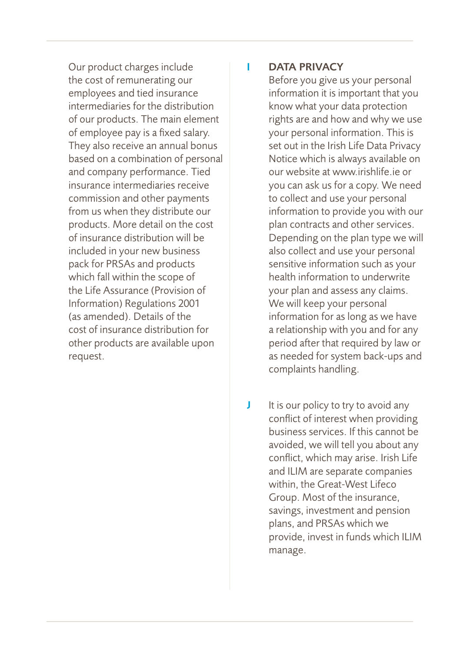Our product charges include the cost of remunerating our employees and tied insurance intermediaries for the distribution of our products. The main element of employee pay is a fixed salary. They also receive an annual bonus based on a combination of personal and company performance. Tied insurance intermediaries receive commission and other payments from us when they distribute our products. More detail on the cost of insurance distribution will be included in your new business pack for PRSAs and products which fall within the scope of the Life Assurance (Provision of Information) Regulations 2001 (as amended). Details of the cost of insurance distribution for other products are available upon request.

#### I DATA PRIVACY

Before you give us your personal information it is important that you know what your data protection rights are and how and why we use your personal information. This is set out in the Irish Life Data Privacy Notice which is always available on our website at www.irishlife.ie or you can ask us for a copy. We need to collect and use your personal information to provide you with our plan contracts and other services. Depending on the plan type we will also collect and use your personal sensitive information such as your health information to underwrite your plan and assess any claims. We will keep your personal information for as long as we have a relationship with you and for any period after that required by law or as needed for system back-ups and complaints handling.

 $J$  It is our policy to try to avoid any conflict of interest when providing business services. If this cannot be avoided, we will tell you about any conflict, which may arise. Irish Life and ILIM are separate companies within, the Great-West Lifeco Group. Most of the insurance, savings, investment and pension plans, and PRSAs which we provide, invest in funds which ILIM manage.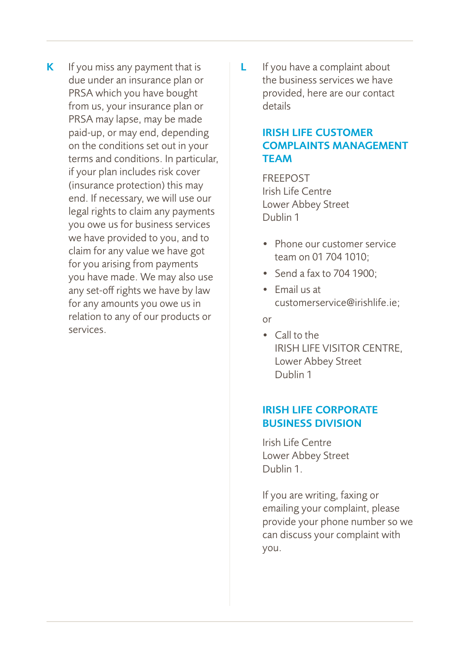- $K$  If you miss any payment that is due under an insurance plan or PRSA which you have bought from us, your insurance plan or PRSA may lapse, may be made paid-up, or may end, depending on the conditions set out in your terms and conditions. In particular, if your plan includes risk cover (insurance protection) this may end. If necessary, we will use our legal rights to claim any payments you owe us for business services we have provided to you, and to claim for any value we have got for you arising from payments you have made. We may also use any set-off rights we have by law for any amounts you owe us in relation to any of our products or services.
- L If you have a complaint about the business services we have provided, here are our contact details

#### IRISH LIFE CUSTOMER COMPLAINTS MANAGEMENT **TEAM**

FREEPOST Irish Life Centre Lower Abbey Street Dublin 1

- Phone our customer service team on 01 704 1010;
- Send a fax to 704 1900;
- Email us at customerservice@irishlife.ie;

or

• Call to the IRISH LIFE VISITOR CENTRE, Lower Abbey Street Dublin 1

#### IRISH LIFE CORPORATE BUSINESS DIVISION

Irish Life Centre Lower Abbey Street Dublin 1.

If you are writing, faxing or emailing your complaint, please provide your phone number so we can discuss your complaint with you.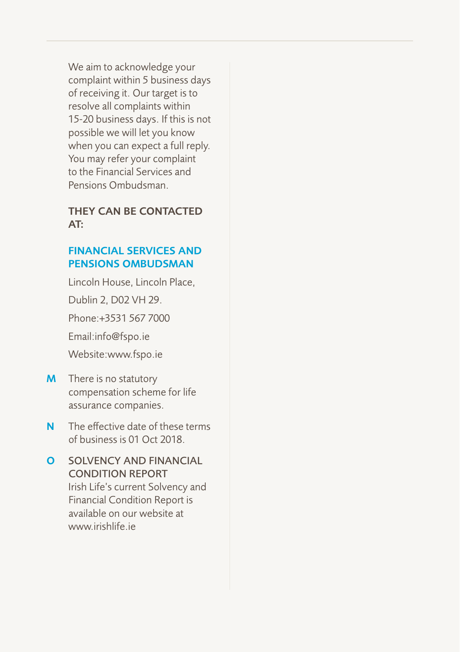We aim to acknowledge your complaint within 5 business days of receiving it. Our target is to resolve all complaints within 15-20 business days. If this is not possible we will let you know when you can expect a full reply. You may refer your complaint to the Financial Services and Pensions Ombudsman.

#### THEY CAN BE CONTACTED AT:

#### FINANCIAL SERVICES AND PENSIONS OMBUDSMAN

Lincoln House, Lincoln Place, Dublin 2, D02 VH 29. Phone:+3531 567 7000 Email:info@fspo.ie Website:www.fspo.ie **M** There is no statutory compensation scheme for life

- assurance companies. **N** The effective date of these terms
- of business is 01 Oct 2018.
- **O** SOLVENCY AND FINANCIAL CONDITION REPORT Irish Life's current Solvency and Financial Condition Report is available on our website at www.irishlife.ie